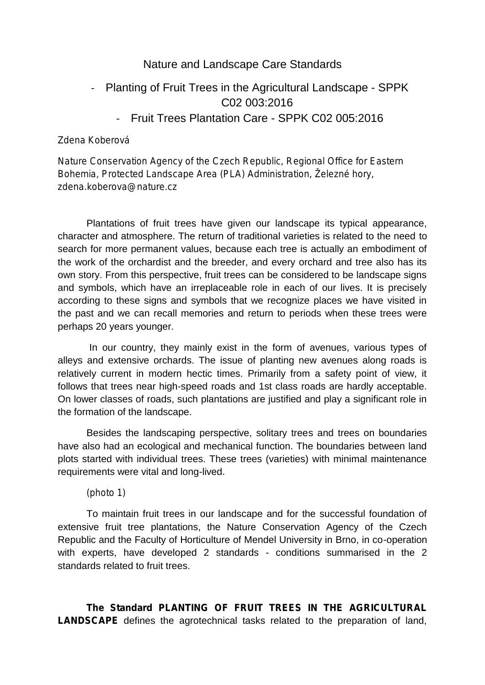## Nature and Landscape Care Standards

# - Planting of Fruit Trees in the Agricultural Landscape - SPPK C02 003:2016

- Fruit Trees Plantation Care - SPPK C02 005:2016

## *Zdena Koberová*

*Nature Conservation Agency of the Czech Republic, Regional Office for Eastern Bohemia, Protected Landscape Area (PLA) Administration, Železné hory, zdena.koberova@nature.cz*

Plantations of fruit trees have given our landscape its typical appearance, character and atmosphere. The return of traditional varieties is related to the need to search for more permanent values, because each tree is actually an embodiment of the work of the orchardist and the breeder, and every orchard and tree also has its own story. From this perspective, fruit trees can be considered to be landscape signs and symbols, which have an irreplaceable role in each of our lives. It is precisely according to these signs and symbols that we recognize places we have visited in the past and we can recall memories and return to periods when these trees were perhaps 20 years younger.

In our country, they mainly exist in the form of avenues, various types of alleys and extensive orchards. The issue of planting new avenues along roads is relatively current in modern hectic times. Primarily from a safety point of view, it follows that trees near high-speed roads and 1st class roads are hardly acceptable. On lower classes of roads, such plantations are justified and play a significant role in the formation of the landscape.

Besides the landscaping perspective, solitary trees and trees on boundaries have also had an ecological and mechanical function. The boundaries between land plots started with individual trees. These trees (varieties) with minimal maintenance requirements were vital and long-lived.

## *(photo 1)*

To maintain fruit trees in our landscape and for the successful foundation of extensive fruit tree plantations, the Nature Conservation Agency of the Czech Republic and the Faculty of Horticulture of Mendel University in Brno, in co-operation with experts, have developed 2 standards - conditions summarised in the 2 standards related to fruit trees.

**The Standard PLANTING OF FRUIT TREES IN THE AGRICULTURAL LANDSCAPE** defines the agrotechnical tasks related to the preparation of land,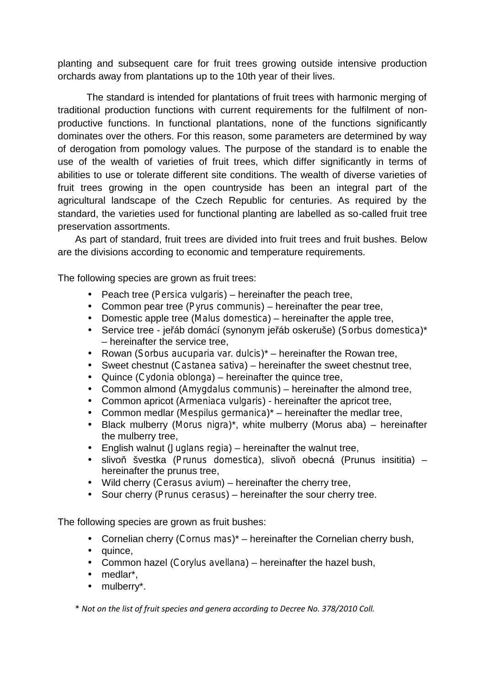planting and subsequent care for fruit trees growing outside intensive production orchards away from plantations up to the 10th year of their lives.

The standard is intended for plantations of fruit trees with harmonic merging of traditional production functions with current requirements for the fulfilment of non productive functions. In functional plantations, none of the functions significantly dominates over the others. For this reason, some parameters are determined by way of derogation from pomology values. The purpose of the standard is to enable the use of the wealth of varieties of fruit trees, which differ significantly in terms of abilities to use or tolerate different site conditions. The wealth of diverse varieties of fruit trees growing in the open countryside has been an integral part of the agricultural landscape of the Czech Republic for centuries. As required by the standard, the varieties used for functional planting are labelled as so-called fruit tree preservation assortments.

As part of standard, fruit trees are divided into fruit trees and fruit bushes. Below are the divisions according to economic and temperature requirements.

The following species are grown as fruit trees:

 Peach tree (*Persica vulgaris*) – hereinafter the peach tree, Common pear tree (*Pyrus communis*) – hereinafter the pear tree, Domestic apple tree (*Malus domestica*) – hereinafter the apple tree, Service tree - jeřáb domácí (synonym jeřáb oskeruše) (*Sorbus domestica*)\* – hereinafter the service tree, Rowan (*Sorbus aucuparia var. dulcis*)\* – hereinafter the Rowan tree, Sweet chestnut (*Castanea sativa*) – hereinafter the sweet chestnut tree, Quince (*Cydonia oblonga*) – hereinafter the quince tree, Common almond (*Amygdalus communis*) – hereinafter the almond tree, Common apricot (*Armeniaca vulgaris*) - hereinafter the apricot tree, Common medlar (*Mespilus germanica*)\* – hereinafter the medlar tree, Black mulberry (*Morus nigra*)\*, white mulberry (Morus aba) – hereinafter the mulberry tree, English walnut (*Juglans regia*) – hereinafter the walnut tree, ) slivo švestka (*Prunus domestica*), slivo obecná (Prunus insititia) – hereinafter the prunus tree, Wild cherry (*Cerasus avium*) – hereinafter the cherry tree, Sour cherry (*Prunus cerasus*) – hereinafter the sour cherry tree.

The following species are grown as fruit bushes:

Cornelian cherry (*Cornus mas*)\* – hereinafter the Cornelian cherry bush,

quince,

Common hazel (*Corylus avellana*) – hereinafter the hazel bush,

- medlar\*,
- mulberry\*.

\* *Not on the list of fruit species and genera according to Decree No. 378/2010 Coll.*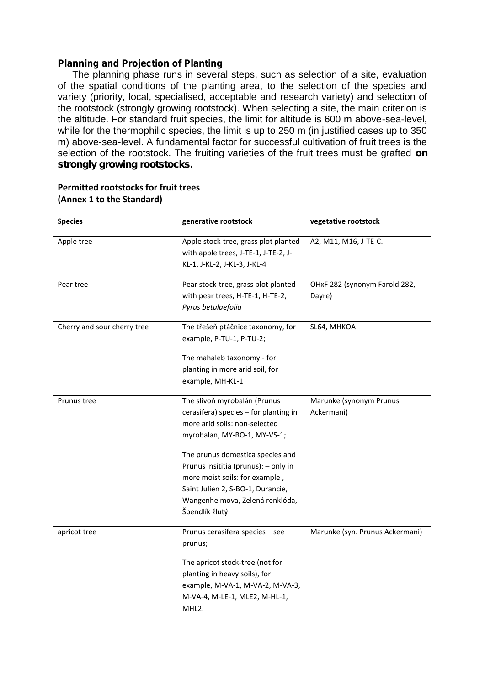## **Planning and Projection of Planting**

The planning phase runs in several steps, such as selection of a site, evaluation of the spatial conditions of the planting area, to the selection of the species and variety (priority, local, specialised, acceptable and research variety) and selection of the rootstock (strongly growing rootstock). When selecting a site, the main criterion is the altitude. For standard fruit species, the limit for altitude is 600 m above-sea-level, while for the thermophilic species, the limit is up to 250 m (in justified cases up to 350 m) above-sea-level. A fundamental factor for successful cultivation of fruit trees is the selection of the rootstock. The fruiting varieties of the fruit trees must be grafted *on strongly growing rootstocks.*

| <b>Species</b>              | generative rootstock                                                                                                                                                                                                                                                                                                                           | vegetative rootstock                    |
|-----------------------------|------------------------------------------------------------------------------------------------------------------------------------------------------------------------------------------------------------------------------------------------------------------------------------------------------------------------------------------------|-----------------------------------------|
| Apple tree                  | Apple stock-tree, grass plot planted<br>with apple trees, J-TE-1, J-TE-2, J-<br>KL-1, J-KL-2, J-KL-3, J-KL-4                                                                                                                                                                                                                                   | A2, M11, M16, J-TE-C.                   |
| Pear tree                   | Pear stock-tree, grass plot planted<br>with pear trees, H-TE-1, H-TE-2,<br>Pyrus betulaefolia                                                                                                                                                                                                                                                  | OHxF 282 (synonym Farold 282,<br>Dayre) |
| Cherry and sour cherry tree | The třešeň ptáčnice taxonomy, for<br>example, P-TU-1, P-TU-2;<br>The mahaleb taxonomy - for<br>planting in more arid soil, for<br>example, MH-KL-1                                                                                                                                                                                             | SL64, MHKOA                             |
| Prunus tree                 | The slivoň myrobalán (Prunus<br>cerasifera) species - for planting in<br>more arid soils: non-selected<br>myrobalan, MY-BO-1, MY-VS-1;<br>The prunus domestica species and<br>Prunus insititia (prunus): - only in<br>more moist soils: for example,<br>Saint Julien 2, S-BO-1, Durancie,<br>Wangenheimova, Zelená renklóda,<br>Špendlík žlutý | Marunke (synonym Prunus<br>Ackermani)   |
| apricot tree                | Prunus cerasifera species - see<br>prunus;<br>The apricot stock-tree (not for<br>planting in heavy soils), for<br>example, M-VA-1, M-VA-2, M-VA-3,<br>M-VA-4, M-LE-1, MLE2, M-HL-1,<br>MHL <sub>2</sub> .                                                                                                                                      | Marunke (syn. Prunus Ackermani)         |

## **Permitted rootstocks for fruit trees (Annex 1 to the Standard)**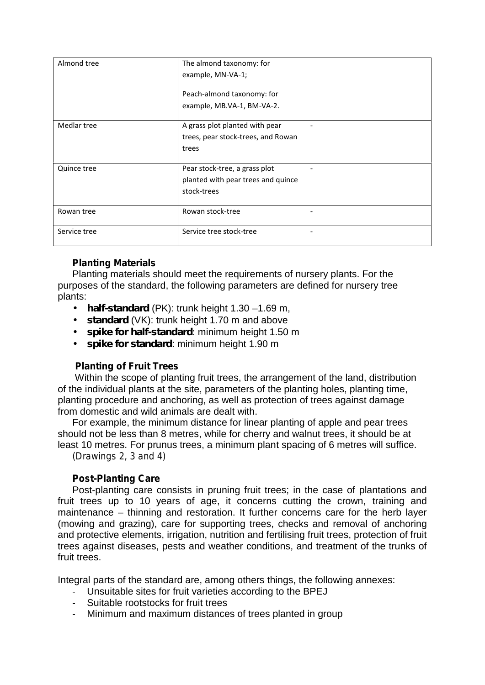| Almond tree  | The almond taxonomy: for<br>example, MN-VA-1;                                      |                          |
|--------------|------------------------------------------------------------------------------------|--------------------------|
|              | Peach-almond taxonomy: for<br>example, MB.VA-1, BM-VA-2.                           |                          |
| Medlar tree  | A grass plot planted with pear<br>trees, pear stock-trees, and Rowan<br>trees      |                          |
| Quince tree  | Pear stock-tree, a grass plot<br>planted with pear trees and quince<br>stock-trees |                          |
| Rowan tree   | Rowan stock-tree                                                                   | $\overline{\phantom{a}}$ |
| Service tree | Service tree stock-tree                                                            |                          |

## **Planting Materials**

Planting materials should meet the requirements of nursery plants. For the purposes of the standard, the following parameters are defined for nursery tree plants:

- *half-standard* (PK): trunk height 1.30 –1.69 m,
- *standard* (VK): trunk height 1.70 m and above
- *spike for half-standard:* minimum height 1.50 m

*spike for standard*: minimum height 1.90 m

## **Planting of Fruit Trees**

Within the scope of planting fruit trees, the arrangement of the land, distribution of the individual plants at the site, parameters of the planting holes, planting time, planting procedure and anchoring, as well as protection of trees against damage from domestic and wild animals are dealt with.

For example, the minimum distance for linear planting of apple and pear trees should not be less than 8 metres, while for cherry and walnut trees, it should be at least 10 metres. For prunus trees, a minimum plant spacing of 6 metres will suffice.

*(Drawings 2, 3 and 4)*

## **Post-Planting Care**

Post-planting care consists in pruning fruit trees; in the case of plantations and fruit trees up to 10 years of age, it concerns cutting the crown, training and maintenance – thinning and restoration. It further concerns care for the herb layer (mowing and grazing), care for supporting trees, checks and removal of anchoring and protective elements, irrigation, nutrition and fertilising fruit trees, protection of fruit trees against diseases, pests and weather conditions, and treatment of the trunks of fruit trees.

Integral parts of the standard are, among others things, the following annexes:

- Unsuitable sites for fruit varieties according to the BPEJ
- Suitable rootstocks for fruit trees
- Minimum and maximum distances of trees planted in group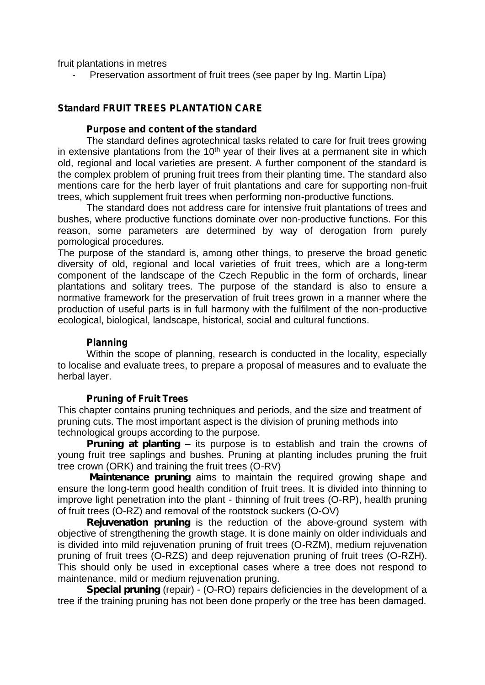fruit plantations in metres

- Preservation assortment of fruit trees (see paper by Ing. Martin Lípa)

### **Standard FRUIT TREES PLANTATION CARE**

#### **Purpose and content of the standard**

The standard defines agrotechnical tasks related to care for fruit trees growing in extensive plantations from the  $10<sup>th</sup>$  year of their lives at a permanent site in which old, regional and local varieties are present. A further component of the standard is the complex problem of pruning fruit trees from their planting time. The standard also mentions care for the herb layer of fruit plantations and care for supporting non-fruit trees, which supplement fruit trees when performing non-productive functions.

The standard does not address care for intensive fruit plantations of trees and bushes, where productive functions dominate over non-productive functions. For this reason, some parameters are determined by way of derogation from purely pomological procedures.

The purpose of the standard is, among other things, to preserve the broad genetic diversity of old, regional and local varieties of fruit trees, which are a long-term component of the landscape of the Czech Republic in the form of orchards, linear plantations and solitary trees. The purpose of the standard is also to ensure a normative framework for the preservation of fruit trees grown in a manner where the production of useful parts is in full harmony with the fulfilment of the non-productive ecological, biological, landscape, historical, social and cultural functions.

## **Planning**

Within the scope of planning, research is conducted in the locality, especially to localise and evaluate trees, to prepare a proposal of measures and to evaluate the herbal layer.

#### **Pruning of Fruit Trees**

This chapter contains pruning techniques and periods, and the size and treatment of pruning cuts. The most important aspect is the division of pruning methods into technological groups according to the purpose.

**Pruning at planting** – its purpose is to establish and train the crowns of young fruit tree saplings and bushes. Pruning at planting includes pruning the fruit tree crown (ORK) and training the fruit trees (O-RV)

*Maintenance pruning* aims to maintain the required growing shape and ensure the long-term good health condition of fruit trees. It is divided into thinning to improve light penetration into the plant - thinning of fruit trees (O-RP), health pruning of fruit trees (O-RZ) and removal of the rootstock suckers (O-OV)

**Rejuvenation pruning** is the reduction of the above-ground system with objective of strengthening the growth stage. It is done mainly on older individuals and is divided into mild rejuvenation pruning of fruit trees (O-RZM), medium rejuvenation pruning of fruit trees (O-RZS) and deep rejuvenation pruning of fruit trees (O-RZH). This should only be used in exceptional cases where a tree does not respond to maintenance, mild or medium rejuvenation pruning.

**Special pruning** (repair) - (O-RO) repairs deficiencies in the development of a tree if the training pruning has not been done properly or the tree has been damaged.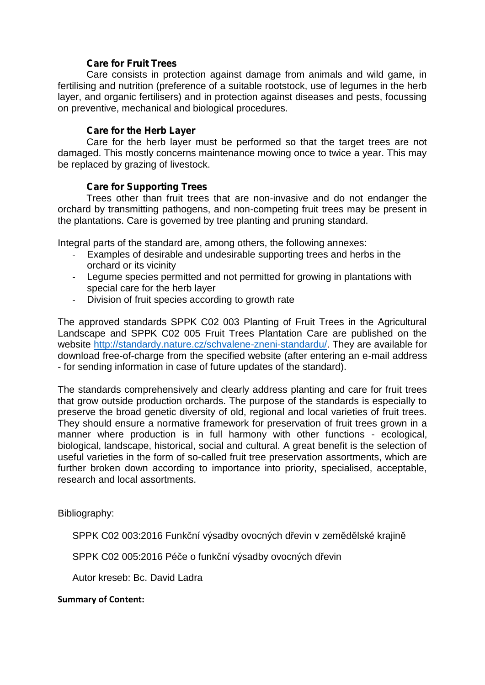## **Care for Fruit Trees**

Care consists in protection against damage from animals and wild game, in fertilising and nutrition (preference of a suitable rootstock, use of legumes in the herb layer, and organic fertilisers) and in protection against diseases and pests, focussing on preventive, mechanical and biological procedures.

## **Care for the Herb Layer**

Care for the herb layer must be performed so that the target trees are not damaged. This mostly concerns maintenance mowing once to twice a year. This may be replaced by grazing of livestock.

## **Care for Supporting Trees**

Trees other than fruit trees that are non-invasive and do not endanger the orchard by transmitting pathogens, and non-competing fruit trees may be present in the plantations. Care is governed by tree planting and pruning standard.

Integral parts of the standard are, among others, the following annexes:

- Examples of desirable and undesirable supporting trees and herbs in the orchard or its vicinity
- Legume species permitted and not permitted for growing in plantations with special care for the herb layer
- Division of fruit species according to growth rate

The approved standards SPPK C02 003 Planting of Fruit Trees in the Agricultural Landscape and SPPK C02 005 Fruit Trees Plantation Care are published on the website http://standardy.nature.cz/schvalene-zneni-standardu/. They are available for download free-of-charge from the specified website (after entering an e-mail address - for sending information in case of future updates of the standard).

The standards comprehensively and clearly address planting and care for fruit trees that grow outside production orchards. The purpose of the standards is especially to preserve the broad genetic diversity of old, regional and local varieties of fruit trees. They should ensure a normative framework for preservation of fruit trees grown in a manner where production is in full harmony with other functions - ecological, biological, landscape, historical, social and cultural. A great benefit is the selection of useful varieties in the form of so-called fruit tree preservation assortments, which are further broken down according to importance into priority, specialised, acceptable, research and local assortments.

Bibliography:

SPPK C02 003:2016 Funk ní výsadby ovocných devin v zemědělské krajin

SPPK C02 005:2016 Pé e o funk ní výsadby ovocných devin

Autor kreseb: Bc. David Ladra

#### **Summary of Content:**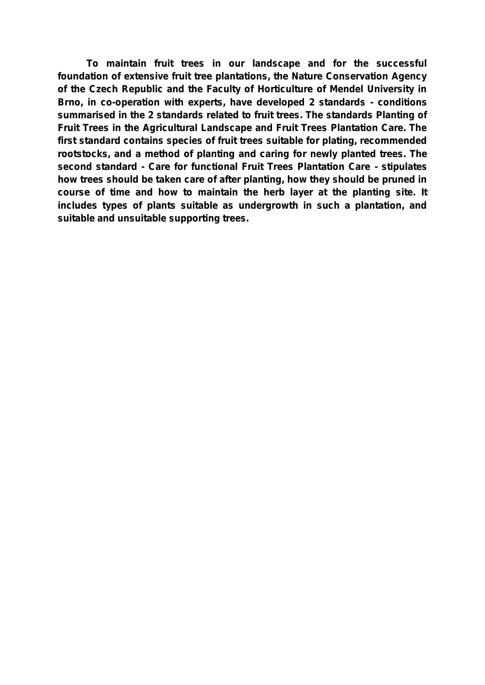**To maintain fruit trees in our landscape and for the successful foundation of extensive fruit tree plantations, the Nature Conservation Agency of the Czech Republic and the Faculty of Horticulture of Mendel University in Brno, in co-operation with experts, have developed 2 standards - conditions summarised in the 2 standards related to fruit trees. The standards Planting of Fruit Trees in the Agricultural Landscape and Fruit Trees Plantation Care. The first standard contains species of fruit trees suitable for plating, recommended rootstocks, and a method of planting and caring for newly planted trees. The second standard - Care for functional Fruit Trees Plantation Care - stipulates how trees should be taken care of after planting, how they should be pruned in course of time and how to maintain the herb layer at the planting site. It includes types of plants suitable as undergrowth in such a plantation, and suitable and unsuitable supporting trees.**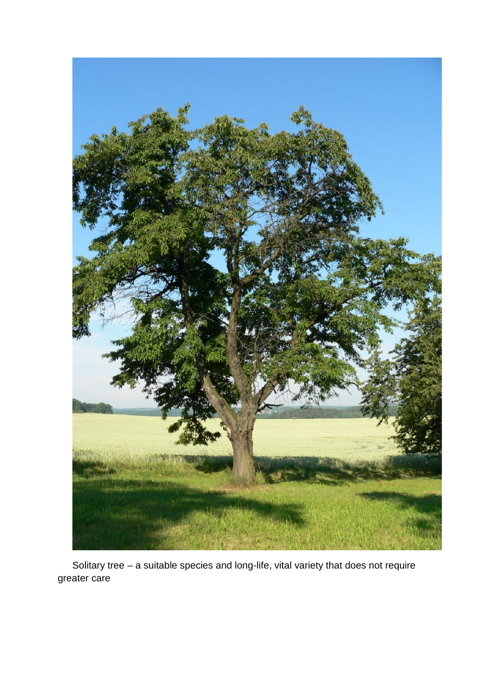

Solitary tree – a suitable species and long-life, vital variety that does not require greater care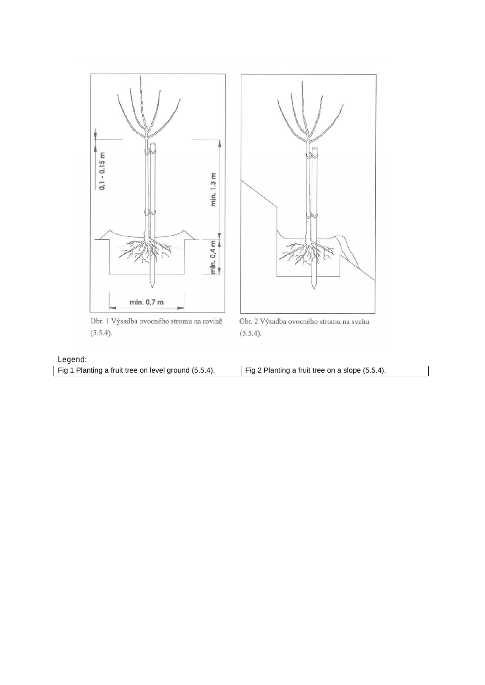

Obr. 1 Výsadba ovocného stromu na rovině  $(5.5.4)$ .

Obr. 2 Výsadba ovocného stromu na svahu  $(5.5.4)$ .

| Legend:                                              |                                                                |
|------------------------------------------------------|----------------------------------------------------------------|
| Fig 1 Planting a fruit tree on level ground (5.5.4). | $\overline{ }$ Fig 2 Planting a fruit tree on a slope (5.5.4). |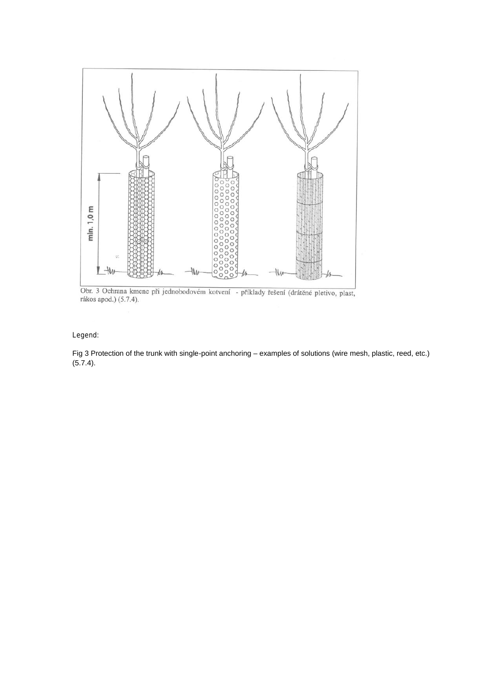

Obr. 3 Ochrana kmene při jednobodovém kotvení - příklady řešení (drátěné pletivo, plast, rákos apod.) (5.7.4).

#### *Legend*:

Fig 3 Protection of the trunk with single-point anchoring – examples of solutions (wire mesh, plastic, reed, etc.) (5.7.4).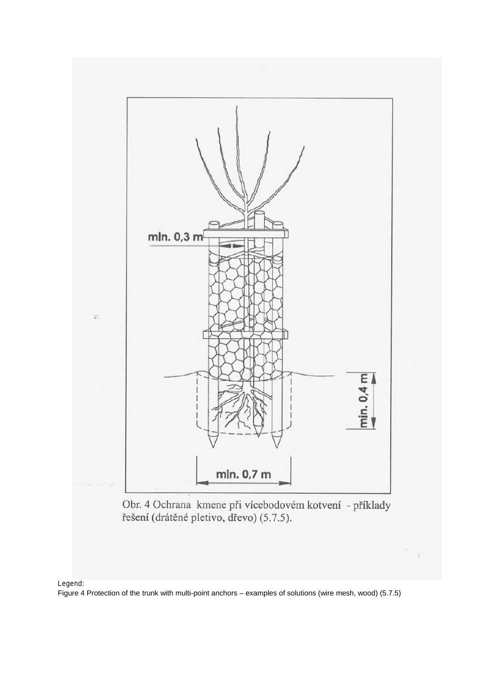



#### *Legend*:

Figure 4 Protection of the trunk with multi-point anchors – examples of solutions (wire mesh, wood) (5.7.5)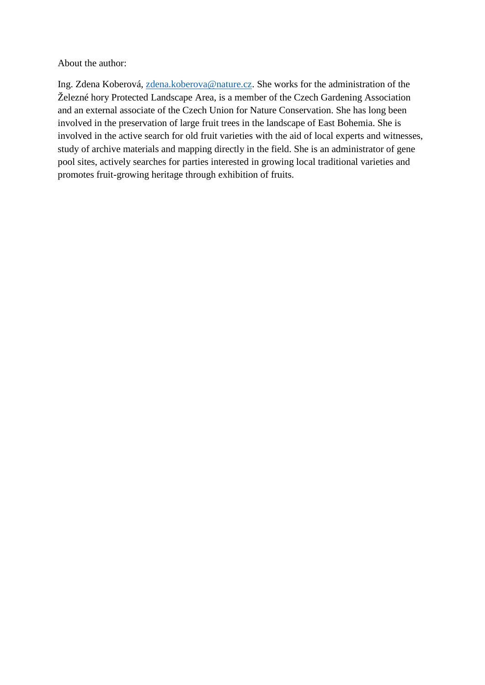About the author:

Ing. Zdena Koberová, zdena.koberova@nature.cz. She works for the administration of the Železné hory Protected Landscape Area, is a member of the Czech Gardening Association and an external associate of the Czech Union for Nature Conservation. She has long been involved in the preservation of large fruit trees in the landscape of East Bohemia. She is involved in the active search for old fruit varieties with the aid of local experts and witnesses, study of archive materials and mapping directly in the field. She is an administrator of gene pool sites, actively searches for parties interested in growing local traditional varieties and promotes fruit-growing heritage through exhibition of fruits.